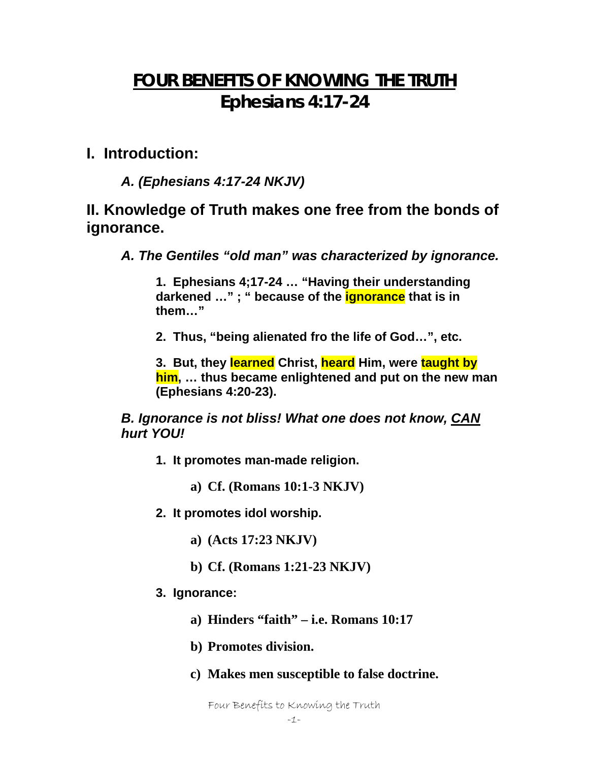# **FOUR BENEFITS OF KNOWING THE TRUTH Ephesians 4:17-24**

### **I. Introduction:**

*A. (Ephesians 4:17-24 NKJV)* 

## **II. Knowledge of Truth makes one free from the bonds of ignorance.**

*A. The Gentiles "old man" was characterized by ignorance.* 

**1. Ephesians 4;17-24 … "Having their understanding darkened …" ; " because of the ignorance that is in them…"** 

**2. Thus, "being alienated fro the life of God…", etc.** 

**3. But, they learned Christ, heard Him, were taught by him, … thus became enlightened and put on the new man (Ephesians 4:20-23).** 

*B. Ignorance is not bliss! What one does not know, CAN hurt YOU!* 

**1. It promotes man-made religion.** 

**a) Cf. (Romans 10:1-3 NKJV)** 

- **2. It promotes idol worship.** 
	- **a) (Acts 17:23 NKJV)**
	- **b) Cf. (Romans 1:21-23 NKJV)**
- **3. Ignorance:** 
	- **a) Hinders "faith" i.e. Romans 10:17**
	- **b) Promotes division.**
	- **c) Makes men susceptible to false doctrine.**

Four Benefits to Knowing the Truth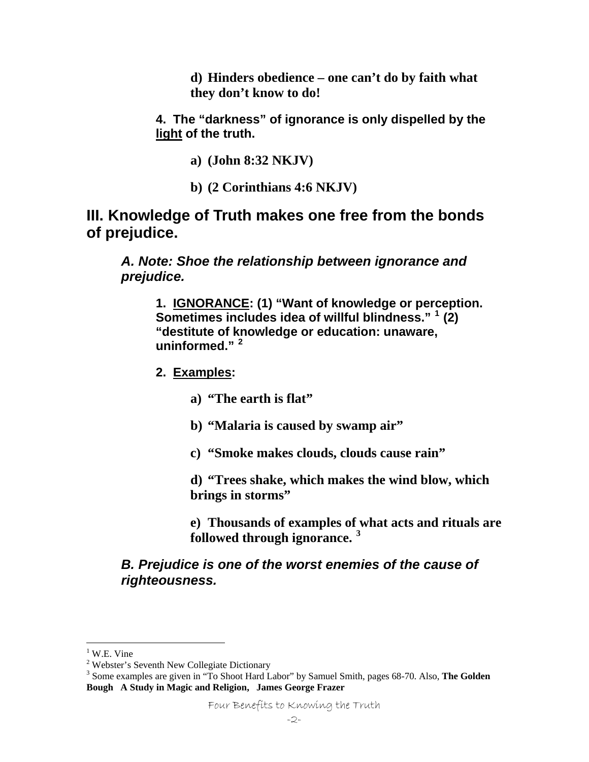**d) Hinders obedience – one can't do by faith what they don't know to do!** 

**4. The "darkness" of ignorance is only dispelled by the light of the truth.** 

**a) (John 8:32 NKJV)** 

**b) (2 Corinthians 4:6 NKJV)** 

### **III. Knowledge of Truth makes one free from the bonds of prejudice.**

*A. Note: Shoe the relationship between ignorance and prejudice.* 

**1. IGNORANCE: (1) "Want of knowledge or perception. Sometimes includes idea of willful blindness." [1](#page-1-0) (2) "destitute of knowledge or education: unaware, uninformed." [2](#page-1-1)** 

**2. Examples:** 

**a) "The earth is flat"** 

- **b) "Malaria is caused by swamp air"**
- **c) "Smoke makes clouds, clouds cause rain"**

**d) "Trees shake, which makes the wind blow, which brings in storms"** 

**e) Thousands of examples of [w](#page-1-2)hat acts and rituals are followed through ignorance. [3](#page-1-2)**

#### *B. Prejudice is one of the worst enemies of the cause of righteousness.*

 $\overline{a}$ 

<sup>&</sup>lt;sup>1</sup> W.E. Vine

<span id="page-1-1"></span><span id="page-1-0"></span><sup>&</sup>lt;sup>2</sup> Webster's Seventh New Collegiate Dictionary

<span id="page-1-2"></span><sup>3</sup> Some examples are given in "To Shoot Hard Labor" by Samuel Smith, pages 68-70. Also, **The Golden Bough A Study in Magic and Religion, James George Frazer**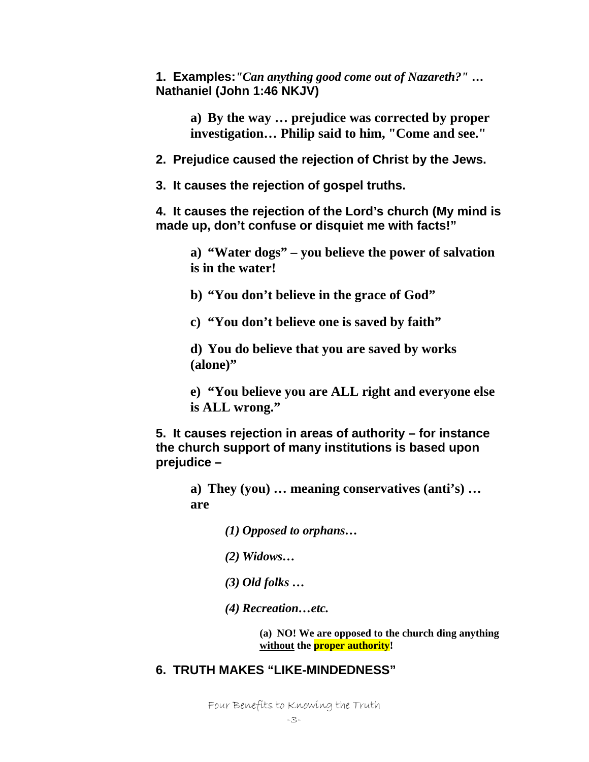**1. Examples:***"Can anything good come out of Nazareth?"* **… Nathaniel (John 1:46 NKJV)** 

> **a) By the way … prejudice was corrected by proper investigation… Philip said to him, "Come and see."**

**2. Prejudice caused the rejection of Christ by the Jews.** 

**3. It causes the rejection of gospel truths.** 

**4. It causes the rejection of the Lord's church (My mind is made up, don't confuse or disquiet me with facts!"** 

**a) "Water dogs" – you believe the power of salvation is in the water!** 

**b) "You don't believe in the grace of God"** 

**c) "You don't believe one is saved by faith"** 

**d) You do believe that you are saved by works (alone)"** 

**e) "You believe you are ALL right and everyone else is ALL wrong."** 

**5. It causes rejection in areas of authority – for instance the church support of many institutions is based upon prejudice –** 

**a) They (you) … meaning conservatives (anti's) … are** 

*(1) Opposed to orphans…* 

*(2) Widows…* 

*(3) Old folks …* 

*(4) Recreation…etc.* 

**(a) NO! We are opposed to the church ding anything without the proper authority!** 

#### **6. TRUTH MAKES "LIKE-MINDEDNESS"**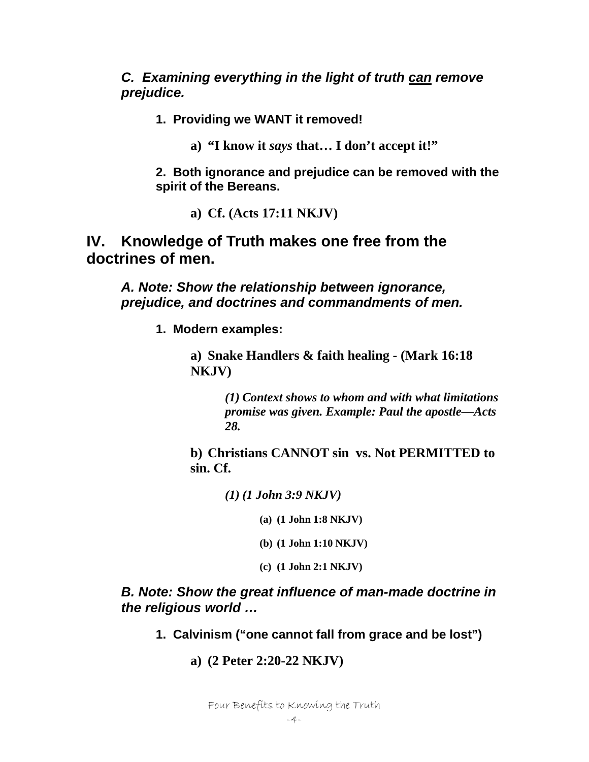*C. Examining everything in the light of truth can remove prejudice.* 

**1. Providing we WANT it removed!** 

**a) "I know it** *says* **that… I don't accept it!"** 

**2. Both ignorance and prejudice can be removed with the spirit of the Bereans.** 

**a) Cf. (Acts 17:11 NKJV)** 

**IV. Knowledge of Truth makes one free from the doctrines of men.** 

*A. Note: Show the relationship between ignorance, prejudice, and doctrines and commandments of men.* 

**1. Modern examples:** 

**a) Snake Handlers & faith healing - (Mark 16:18 NKJV)** 

> *(1) Context shows to whom and with what limitations promise was given. Example: Paul the apostle—Acts 28.*

**b) Christians CANNOT sin vs. Not PERMITTED to sin. Cf.** 

*(1) (1 John 3:9 NKJV)* 

**(a) (1 John 1:8 NKJV)** 

**(b) (1 John 1:10 NKJV)** 

**(c) (1 John 2:1 NKJV)** 

*B. Note: Show the great influence of man-made doctrine in the religious world …* 

- **1. Calvinism ("one cannot fall from grace and be lost")** 
	- **a) (2 Peter 2:20-22 NKJV)**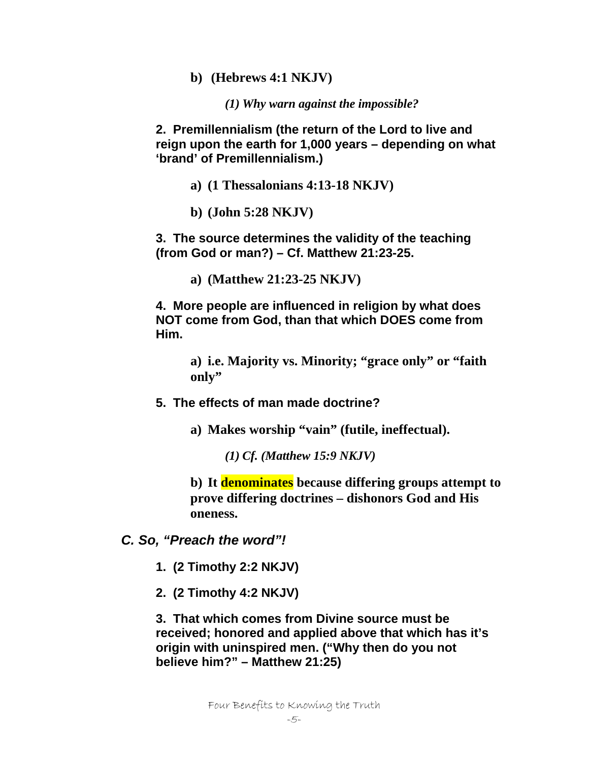**b) (Hebrews 4:1 NKJV)** 

*(1) Why warn against the impossible?* 

**2. Premillennialism (the return of the Lord to live and reign upon the earth for 1,000 years – depending on what 'brand' of Premillennialism.)** 

- **a) (1 Thessalonians 4:13-18 NKJV)**
- **b) (John 5:28 NKJV)**

**3. The source determines the validity of the teaching (from God or man?) – Cf. Matthew 21:23-25.** 

**a) (Matthew 21:23-25 NKJV)** 

**4. More people are influenced in religion by what does NOT come from God, than that which DOES come from Him.** 

> **a) i.e. Majority vs. Minority; "grace only" or "faith only"**

- **5. The effects of man made doctrine?** 
	- **a) Makes worship "vain" (futile, ineffectual).** 
		- *(1) Cf. (Matthew 15:9 NKJV)*

**b) It denominates because differing groups attempt to prove differing doctrines – dishonors God and His oneness.** 

- *C. So, "Preach the word"!* 
	- **1. (2 Timothy 2:2 NKJV)**
	- **2. (2 Timothy 4:2 NKJV)**

**3. That which comes from Divine source must be received; honored and applied above that which has it's origin with uninspired men. ("Why then do you not believe him?" – Matthew 21:25)**